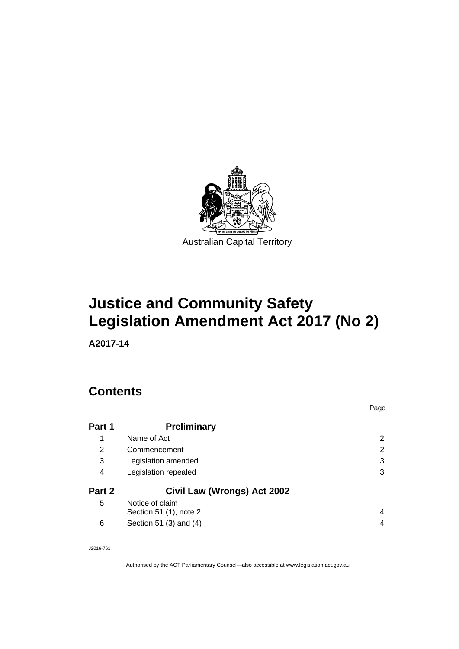

# **Justice and Community Safety Legislation Amendment Act 2017 (No 2)**

**A2017-14** 

# **Contents**

|        |                                           | Page |
|--------|-------------------------------------------|------|
| Part 1 | <b>Preliminary</b>                        |      |
| 1      | Name of Act                               | 2    |
| 2      | Commencement                              | 2    |
| 3      | Legislation amended                       | 3    |
| 4      | Legislation repealed                      | 3    |
| Part 2 | Civil Law (Wrongs) Act 2002               |      |
| 5      | Notice of claim<br>Section 51 (1), note 2 | 4    |
| 6      | Section 51 (3) and (4)                    | 4    |

J2016-761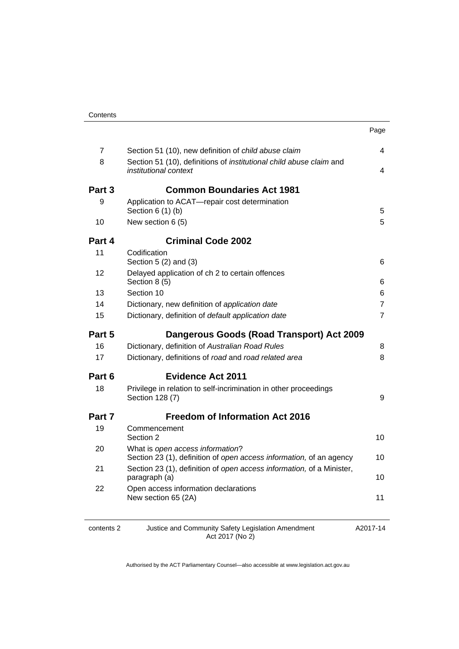| $\overline{7}$ | Section 51 (10), new definition of child abuse claim                                                       | 4                   |
|----------------|------------------------------------------------------------------------------------------------------------|---------------------|
| 8              | Section 51 (10), definitions of <i>institutional child abuse claim</i> and<br><i>institutional context</i> | 4                   |
| Part 3         | <b>Common Boundaries Act 1981</b>                                                                          |                     |
| 9              | Application to ACAT-repair cost determination<br>Section $6(1)(b)$                                         | 5                   |
| 10             | New section 6 (5)                                                                                          | 5                   |
| Part 4         | <b>Criminal Code 2002</b>                                                                                  |                     |
| 11             | Codification<br>Section $5(2)$ and $(3)$                                                                   | 6.                  |
| 12             | Delayed application of ch 2 to certain offences                                                            |                     |
|                | Section 8 (5)<br>Section 10                                                                                | 6                   |
| 13<br>14       | Dictionary, new definition of application date                                                             | 6<br>$\overline{7}$ |
| 15             | Dictionary, definition of default application date                                                         | $\overline{7}$      |
| Part 5         | Dangerous Goods (Road Transport) Act 2009                                                                  |                     |
| 16             | Dictionary, definition of Australian Road Rules                                                            | 8                   |
| 17             | Dictionary, definitions of road and road related area                                                      | 8                   |
| Part 6         | <b>Evidence Act 2011</b>                                                                                   |                     |
| 18             | Privilege in relation to self-incrimination in other proceedings<br>Section 128 (7)                        | 9                   |
| Part 7         | <b>Freedom of Information Act 2016</b>                                                                     |                     |
| 19             | Commencement<br>Section 2                                                                                  | 10                  |
| 20             | What is open access information?<br>Section 23 (1), definition of open access information, of an agency    | 10                  |
| 21             | Section 23 (1), definition of open access information, of a Minister,<br>paragraph (a)                     | 10                  |
| 22             | Open access information declarations<br>New section 65 (2A)                                                | 11                  |
|                |                                                                                                            |                     |

contents 2 Justice and Community Safety Legislation Amendment Act 2017 (No 2)

A2017-14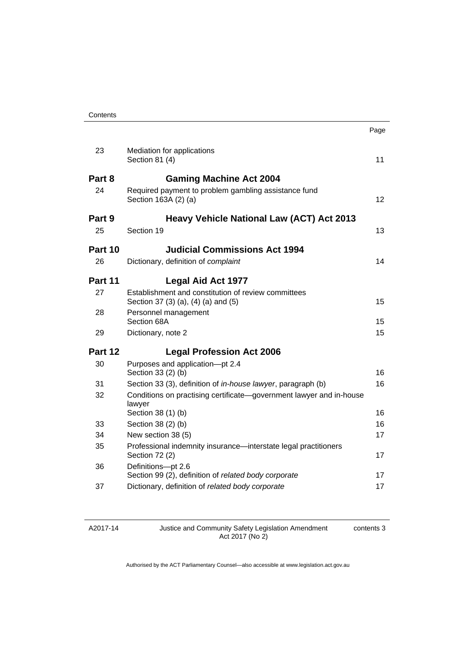|         |                                                                                            | Page            |
|---------|--------------------------------------------------------------------------------------------|-----------------|
| 23      | Mediation for applications<br>Section 81 (4)                                               | 11              |
| Part 8  | <b>Gaming Machine Act 2004</b>                                                             |                 |
| 24      | Required payment to problem gambling assistance fund<br>Section 163A (2) (a)               | 12 <sub>2</sub> |
| Part 9  | <b>Heavy Vehicle National Law (ACT) Act 2013</b>                                           |                 |
| 25      | Section 19                                                                                 | 13              |
| Part 10 | <b>Judicial Commissions Act 1994</b>                                                       |                 |
| 26      | Dictionary, definition of complaint                                                        | 14              |
| Part 11 | <b>Legal Aid Act 1977</b>                                                                  |                 |
| 27      | Establishment and constitution of review committees<br>Section 37 (3) (a), (4) (a) and (5) | 15              |
| 28      | Personnel management<br>Section 68A                                                        | 15              |
| 29      | Dictionary, note 2                                                                         | 15              |
| Part 12 | <b>Legal Profession Act 2006</b>                                                           |                 |
| 30      | Purposes and application-pt 2.4<br>Section 33 (2) (b)                                      | 16              |
| 31      | Section 33 (3), definition of <i>in-house lawyer</i> , paragraph (b)                       | 16              |
| 32      | Conditions on practising certificate—government lawyer and in-house<br>lawyer              |                 |
| 33      | Section 38 (1) (b)<br>Section 38 (2) (b)                                                   | 16<br>16        |
| 34      | New section 38 (5)                                                                         | 17              |
| 35      | Professional indemnity insurance—interstate legal practitioners                            |                 |
|         | Section 72 (2)                                                                             | 17              |
| 36      | Definitions-pt 2.6<br>Section 99 (2), definition of related body corporate                 | 17              |
| 37      | Dictionary, definition of related body corporate                                           | 17              |

| A2017-14 |  |
|----------|--|
|----------|--|

Justice and Community Safety Legislation Amendment Act 2017 (No 2)

contents 3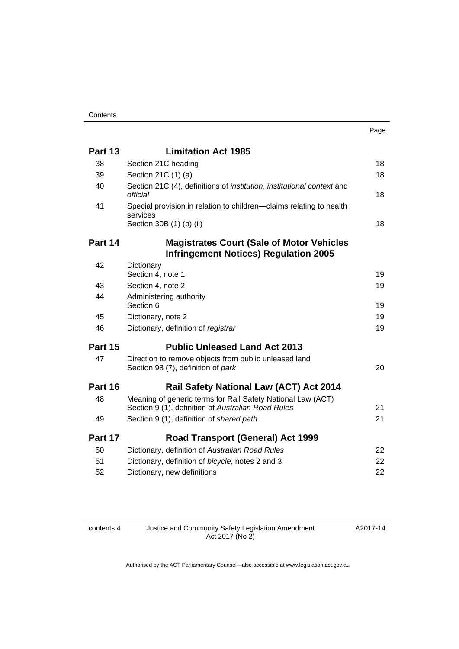| Part 13 | <b>Limitation Act 1985</b>                                                                                        |    |
|---------|-------------------------------------------------------------------------------------------------------------------|----|
| 38      | Section 21C heading                                                                                               | 18 |
| 39      | Section 21C (1) (a)                                                                                               | 18 |
| 40      | Section 21C (4), definitions of <i>institution</i> , <i>institutional context</i> and<br>official                 | 18 |
| 41      | Special provision in relation to children-claims relating to health<br>services                                   |    |
|         | Section 30B (1) (b) (ii)                                                                                          | 18 |
| Part 14 | <b>Magistrates Court (Sale of Motor Vehicles</b><br><b>Infringement Notices) Regulation 2005</b>                  |    |
| 42      | Dictionary<br>Section 4, note 1                                                                                   | 19 |
| 43      | Section 4, note 2                                                                                                 | 19 |
| 44      | Administering authority<br>Section 6                                                                              | 19 |
| 45      | Dictionary, note 2                                                                                                | 19 |
| 46      | Dictionary, definition of registrar                                                                               | 19 |
| Part 15 | <b>Public Unleased Land Act 2013</b>                                                                              |    |
| 47      | Direction to remove objects from public unleased land<br>Section 98 (7), definition of park                       | 20 |
| Part 16 | <b>Rail Safety National Law (ACT) Act 2014</b>                                                                    |    |
| 48      | Meaning of generic terms for Rail Safety National Law (ACT)<br>Section 9 (1), definition of Australian Road Rules | 21 |
| 49      | Section 9 (1), definition of shared path                                                                          | 21 |
| Part 17 | <b>Road Transport (General) Act 1999</b>                                                                          |    |
| 50      | Dictionary, definition of Australian Road Rules                                                                   | 22 |
| 51      | Dictionary, definition of bicycle, notes 2 and 3                                                                  | 22 |
| 52      | Dictionary, new definitions                                                                                       | 22 |

contents 4 Justice and Community Safety Legislation Amendment Act 2017 (No 2)

A2017-14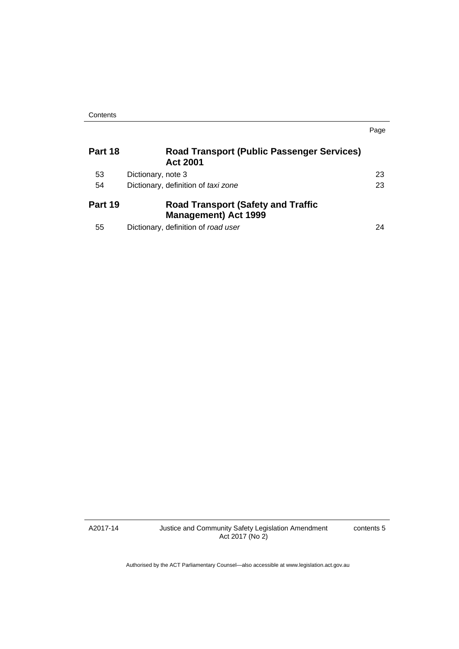**Contents** 

|         |                                                                           | Page |
|---------|---------------------------------------------------------------------------|------|
| Part 18 | <b>Road Transport (Public Passenger Services)</b><br><b>Act 2001</b>      |      |
| 53      | Dictionary, note 3                                                        | 23   |
| 54      | Dictionary, definition of taxi zone                                       | 23   |
| Part 19 | <b>Road Transport (Safety and Traffic</b><br><b>Management</b> ) Act 1999 |      |
| 55      | Dictionary, definition of road user                                       | 24   |

A2017-14

Justice and Community Safety Legislation Amendment Act 2017 (No 2)

contents 5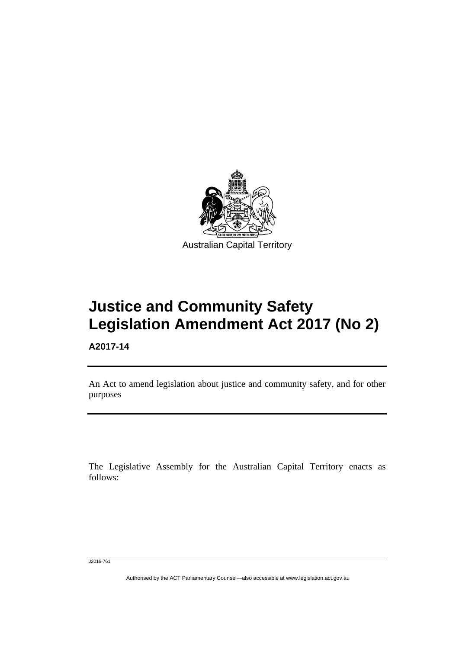

# **Justice and Community Safety Legislation Amendment Act 2017 (No 2)**

**A2017-14** 

l

An Act to amend legislation about justice and community safety, and for other purposes

The Legislative Assembly for the Australian Capital Territory enacts as follows:

J2016-761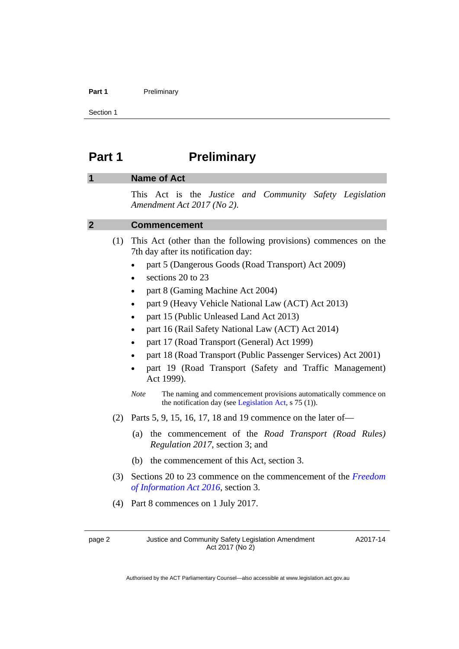#### Part 1 **Preliminary**

Section 1

### <span id="page-7-0"></span>**Part 1** Preliminary

#### <span id="page-7-1"></span>**1 Name of Act**

This Act is the *Justice and Community Safety Legislation Amendment Act 2017 (No 2)*.

### <span id="page-7-2"></span>**2 Commencement**

- (1) This Act (other than the following provisions) commences on the 7th day after its notification day:
	- part 5 (Dangerous Goods (Road Transport) Act 2009)
	- $\cdot$  sections 20 to 23
	- part 8 (Gaming Machine Act 2004)
	- part 9 (Heavy Vehicle National Law (ACT) Act 2013)
	- part 15 (Public Unleased Land Act 2013)
	- part 16 (Rail Safety National Law (ACT) Act 2014)
	- part 17 (Road Transport (General) Act 1999)
	- part 18 (Road Transport (Public Passenger Services) Act 2001)
	- part 19 (Road Transport (Safety and Traffic Management) Act 1999).

- (2) Parts 5, 9, 15, 16, 17, 18 and 19 commence on the later of—
	- (a) the commencement of the *Road Transport (Road Rules) Regulation 2017*, section 3; and
	- (b) the commencement of this Act, section 3.
- (3) Sections 20 to 23 commence on the commencement of the *[Freedom](http://www.legislation.act.gov.au/a/2016-55)  [of Information Act 2016](http://www.legislation.act.gov.au/a/2016-55)*, section 3.
- (4) Part 8 commences on 1 July 2017.

*Note* The naming and commencement provisions automatically commence on the notification day (see [Legislation Act,](http://www.legislation.act.gov.au/a/2001-14) s 75 (1)).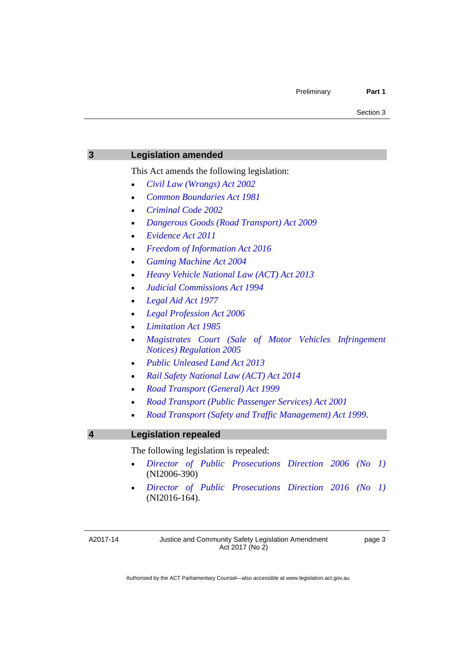#### Section 3

<span id="page-8-0"></span>

| 3 | <b>Legislation amended</b>                                                                                                        |
|---|-----------------------------------------------------------------------------------------------------------------------------------|
|   | This Act amends the following legislation:                                                                                        |
|   | Civil Law (Wrongs) Act 2002                                                                                                       |
|   | <b>Common Boundaries Act 1981</b>                                                                                                 |
|   | <b>Criminal Code 2002</b>                                                                                                         |
|   | <b>Dangerous Goods (Road Transport) Act 2009</b><br>٠                                                                             |
|   | Evidence Act 2011<br>٠                                                                                                            |
|   | <b>Freedom of Information Act 2016</b><br>$\bullet$                                                                               |
|   | <b>Gaming Machine Act 2004</b><br>$\bullet$                                                                                       |
|   | Heavy Vehicle National Law (ACT) Act 2013<br>$\bullet$                                                                            |
|   | <b>Judicial Commissions Act 1994</b>                                                                                              |
|   | Legal Aid Act 1977                                                                                                                |
|   |                                                                                                                                   |
|   | <b>Legal Profession Act 2006</b><br>$\bullet$                                                                                     |
|   | <b>Limitation Act 1985</b>                                                                                                        |
|   | <b>Notices</b> ) Regulation 2005                                                                                                  |
|   | <b>Public Unleased Land Act 2013</b><br>$\bullet$                                                                                 |
|   | Rail Safety National Law (ACT) Act 2014<br>$\bullet$                                                                              |
|   | Road Transport (General) Act 1999<br>٠                                                                                            |
|   | Road Transport (Public Passenger Services) Act 2001                                                                               |
|   | Road Transport (Safety and Traffic Management) Act 1999.                                                                          |
|   | <b>Legislation repealed</b>                                                                                                       |
|   | The following legislation is repealed:                                                                                            |
|   | Magistrates Court (Sale of Motor Vehicles Infringement<br>Director of Public Prosecutions Direction 2006 (No 1)<br>$(NI2006-390)$ |

<span id="page-8-1"></span>A2017-14

Justice and Community Safety Legislation Amendment Act 2017 (No 2)

page 3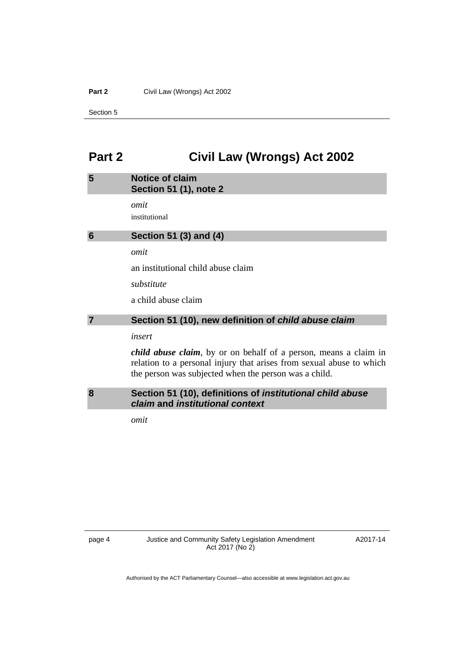#### **Part 2 Civil Law (Wrongs) Act 2002**

Section 5

## <span id="page-9-0"></span>**Part 2 Civil Law (Wrongs) Act 2002**

### <span id="page-9-1"></span>**5 Notice of claim Section 51 (1), note 2**

*omit*  institutional

#### <span id="page-9-2"></span>**6 Section 51 (3) and (4)**

*omit* 

an institutional child abuse claim

*substitute* 

a child abuse claim

### <span id="page-9-3"></span>**7 Section 51 (10), new definition of** *child abuse claim*

*insert* 

*child abuse claim*, by or on behalf of a person, means a claim in relation to a personal injury that arises from sexual abuse to which the person was subjected when the person was a child.

### <span id="page-9-4"></span>**8 Section 51 (10), definitions of** *institutional child abuse claim* **and** *institutional context*

*omit*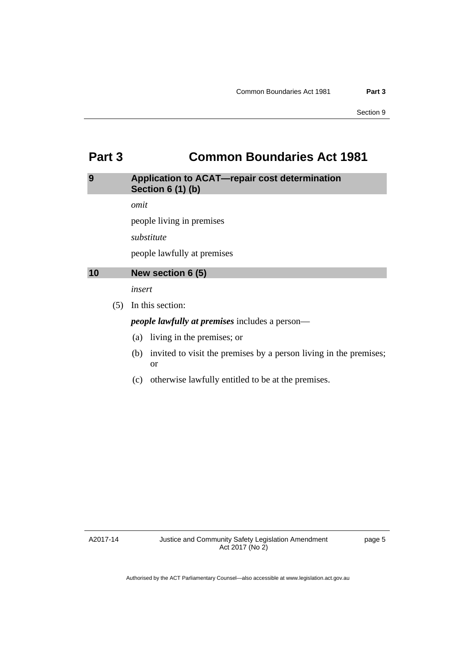# <span id="page-10-0"></span>**Part 3 Common Boundaries Act 1981**

### <span id="page-10-1"></span>**9 Application to ACAT—repair cost determination Section 6 (1) (b)**

*omit* 

people living in premises

*substitute* 

people lawfully at premises

#### <span id="page-10-2"></span>**10 New section 6 (5)**

*insert* 

(5) In this section:

*people lawfully at premises* includes a person—

- (a) living in the premises; or
- (b) invited to visit the premises by a person living in the premises; or
- (c) otherwise lawfully entitled to be at the premises.

A2017-14

page 5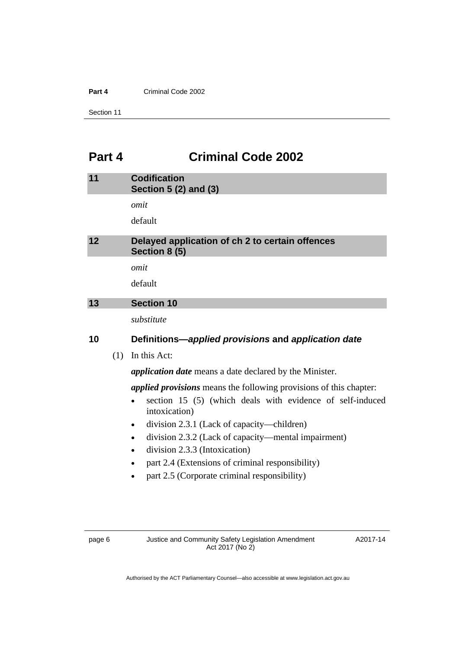#### Part 4 **Criminal Code 2002**

Section 11

# <span id="page-11-0"></span>**Part 4 Criminal Code 2002**

<span id="page-11-3"></span><span id="page-11-2"></span><span id="page-11-1"></span>

| 11 |     | <b>Codification</b><br>Section 5 (2) and (3)                                            |
|----|-----|-----------------------------------------------------------------------------------------|
|    |     | omit                                                                                    |
|    |     | default                                                                                 |
| 12 |     | Delayed application of ch 2 to certain offences<br>Section 8 (5)                        |
|    |     | omit                                                                                    |
|    |     | default                                                                                 |
| 13 |     | <b>Section 10</b>                                                                       |
|    |     | substitute                                                                              |
| 10 |     | Definitions—applied provisions and application date                                     |
|    | (1) | In this Act:                                                                            |
|    |     | <i>application date</i> means a date declared by the Minister.                          |
|    |     | <i>applied provisions</i> means the following provisions of this chapter:               |
|    |     | section 15 (5) (which deals with evidence of self-induced<br>$\bullet$<br>intoxication) |
|    |     | division 2.3.1 (Lack of capacity—children)<br>$\bullet$                                 |
|    |     | division 2.3.2 (Lack of capacity—mental impairment)                                     |
|    |     | division 2.3.3 (Intoxication)                                                           |

- part 2.4 (Extensions of criminal responsibility)
- part 2.5 (Corporate criminal responsibility)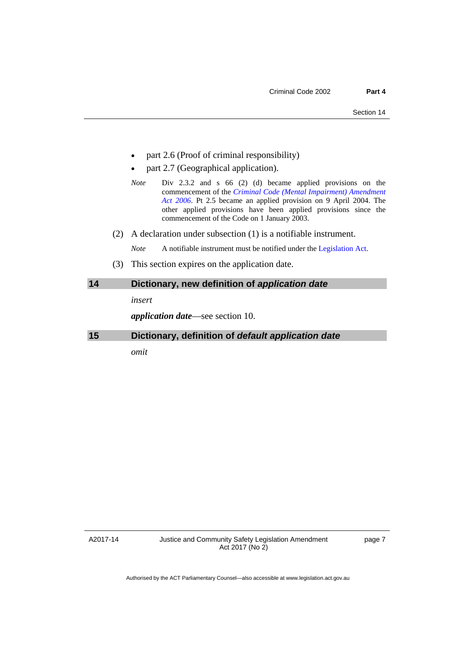- part 2.6 (Proof of criminal responsibility)
- part 2.7 (Geographical application).
- *Note* Div 2.3.2 and s 66 (2) (d) became applied provisions on the commencement of the *[Criminal Code \(Mental Impairment\) Amendment](http://www.legislation.act.gov.au/a/2006-14/default.asp)  [Act 2006](http://www.legislation.act.gov.au/a/2006-14/default.asp)*. Pt 2.5 became an applied provision on 9 April 2004. The other applied provisions have been applied provisions since the commencement of the Code on 1 January 2003.
- (2) A declaration under subsection (1) is a notifiable instrument.

*Note* A notifiable instrument must be notified under the [Legislation Act](http://www.legislation.act.gov.au/a/2001-14).

(3) This section expires on the application date.

# <span id="page-12-0"></span>**14 Dictionary, new definition of** *application date insert*

*application date*—see section 10.

<span id="page-12-1"></span>**15 Dictionary, definition of** *default application date* 

*omit* 

A2017-14

Justice and Community Safety Legislation Amendment Act 2017 (No 2)

page 7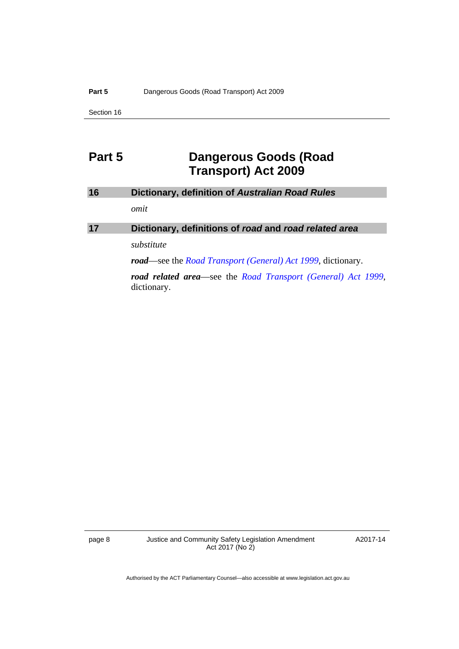Section 16

# <span id="page-13-0"></span>**Part 5 Dangerous Goods (Road Transport) Act 2009**

<span id="page-13-2"></span><span id="page-13-1"></span>

| 16 | Dictionary, definition of Australian Road Rules                                             |
|----|---------------------------------------------------------------------------------------------|
|    | omit                                                                                        |
| 17 | Dictionary, definitions of road and road related area                                       |
|    | substitute                                                                                  |
|    | <b>road</b> —see the <i>Road Transport</i> ( <i>General</i> ) <i>Act 1999</i> , dictionary. |
|    | road related area—see the Road Transport (General) Act 1999,<br>dictionary.                 |

page 8 Justice and Community Safety Legislation Amendment Act 2017 (No 2)

A2017-14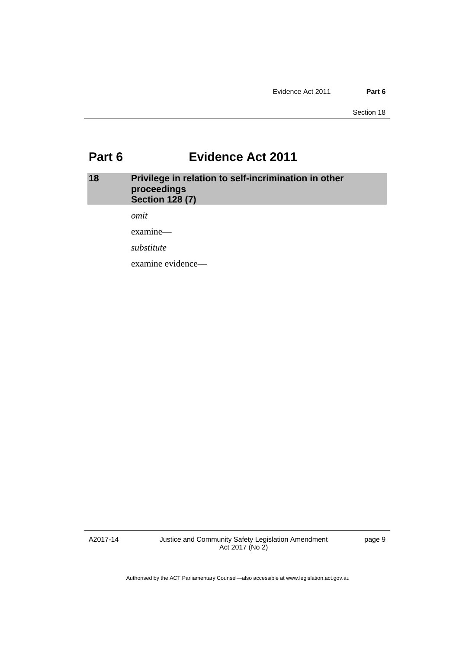# <span id="page-14-0"></span>**Part 6 Evidence Act 2011**

### <span id="page-14-1"></span>**18 Privilege in relation to self-incrimination in other proceedings Section 128 (7)**

*omit* 

examine—

*substitute* 

examine evidence—

A2017-14

Justice and Community Safety Legislation Amendment Act 2017 (No 2)

page 9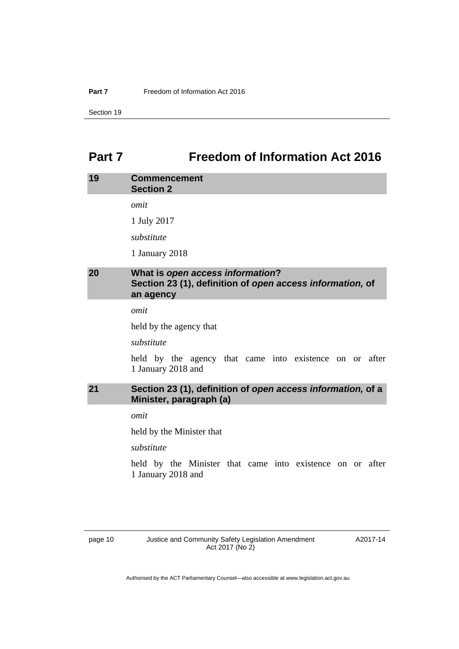#### **Part 7 Freedom of Information Act 2016**

Section 19

# <span id="page-15-0"></span>**Part 7 Freedom of Information Act 2016**

# <span id="page-15-1"></span>**19 Commencement Section 2**  *omit*  1 July 2017 *substitute*

1 January 2018

### <span id="page-15-2"></span>**20 What is** *open access information***? Section 23 (1), definition of** *open access information,* **of an agency**

*omit* 

held by the agency that

*substitute* 

held by the agency that came into existence on or after 1 January 2018 and

### <span id="page-15-3"></span>**21 Section 23 (1), definition of** *open access information,* **of a Minister, paragraph (a)**

*omit* 

held by the Minister that

*substitute* 

held by the Minister that came into existence on or after 1 January 2018 and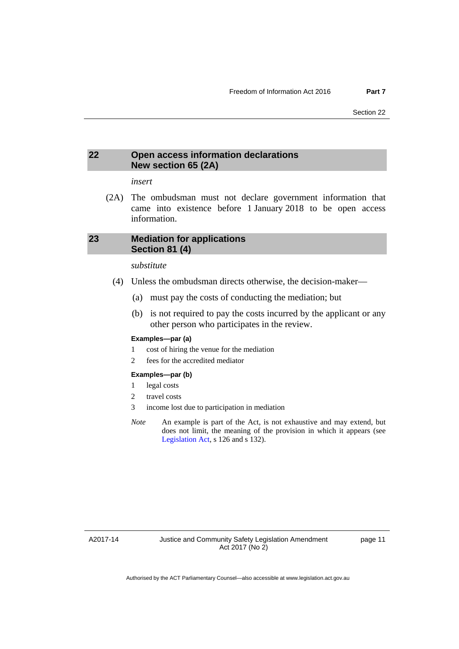#### <span id="page-16-0"></span>**22 Open access information declarations New section 65 (2A)**

#### *insert*

 (2A) The ombudsman must not declare government information that came into existence before 1 January 2018 to be open access information.

### <span id="page-16-1"></span>**23 Mediation for applications Section 81 (4)**

#### *substitute*

- (4) Unless the ombudsman directs otherwise, the decision-maker—
	- (a) must pay the costs of conducting the mediation; but
	- (b) is not required to pay the costs incurred by the applicant or any other person who participates in the review.

#### **Examples—par (a)**

- 1 cost of hiring the venue for the mediation
- 2 fees for the accredited mediator

#### **Examples—par (b)**

- 1 legal costs
- 2 travel costs
- 3 income lost due to participation in mediation
- *Note* An example is part of the Act, is not exhaustive and may extend, but does not limit, the meaning of the provision in which it appears (see [Legislation Act,](http://www.legislation.act.gov.au/a/2001-14) s 126 and s 132).

A2017-14

page 11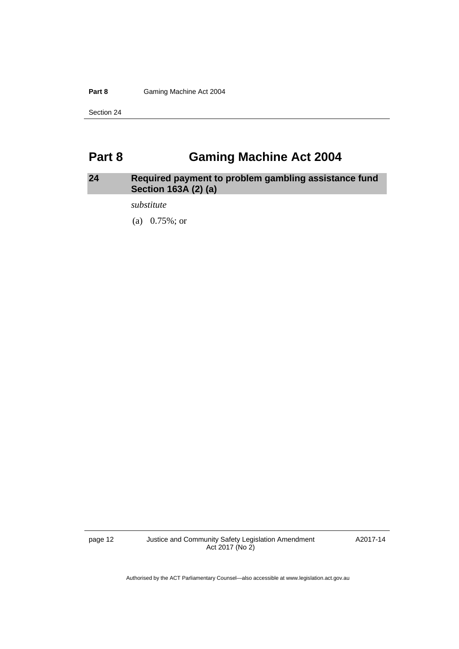Part 8 **Gaming Machine Act 2004** 

Section 24

# <span id="page-17-0"></span>**Part 8 Gaming Machine Act 2004**

### <span id="page-17-1"></span>**24 Required payment to problem gambling assistance fund Section 163A (2) (a)**

*substitute* 

(a) 0.75%; or

page 12 Justice and Community Safety Legislation Amendment Act 2017 (No 2)

A2017-14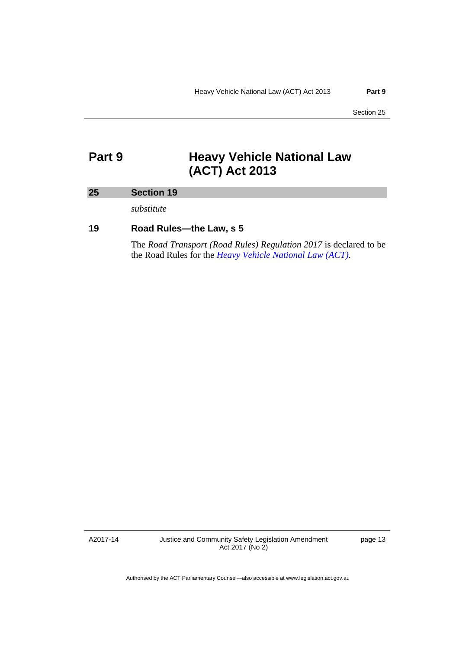# <span id="page-18-0"></span>**Part 9 Heavy Vehicle National Law (ACT) Act 2013**

### <span id="page-18-1"></span>**25 Section 19**

*substitute* 

### **19 Road Rules—the Law, s 5**

The *Road Transport (Road Rules) Regulation 2017* is declared to be the Road Rules for the *[Heavy Vehicle National Law \(ACT\)](http://www.legislation.act.gov.au/a/db_49155/default.asp)*.

A2017-14

Justice and Community Safety Legislation Amendment Act 2017 (No 2)

page 13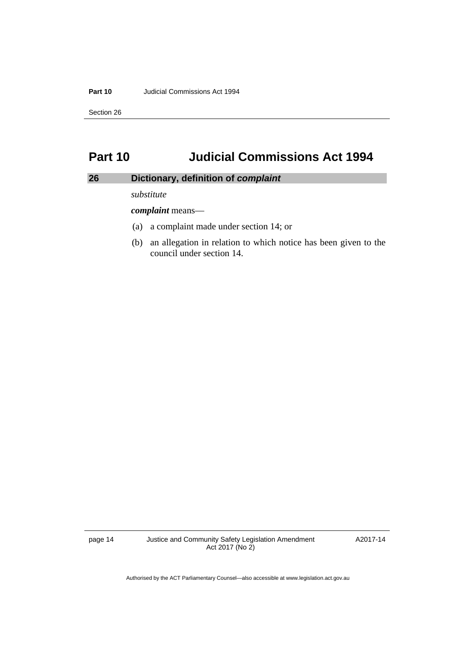**Part 10** Judicial Commissions Act 1994

Section 26

# <span id="page-19-0"></span>**Part 10 Judicial Commissions Act 1994**

### <span id="page-19-1"></span>**26 Dictionary, definition of** *complaint*

*substitute* 

*complaint* means—

- (a) a complaint made under section 14; or
- (b) an allegation in relation to which notice has been given to the council under section 14.

page 14 Justice and Community Safety Legislation Amendment Act 2017 (No 2)

A2017-14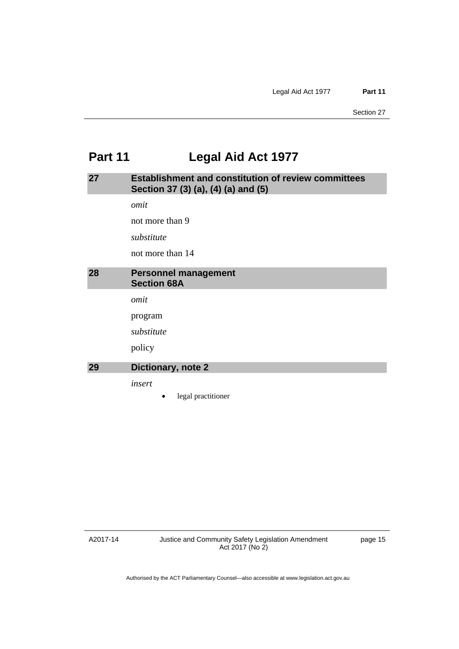# <span id="page-20-0"></span>**Part 11 Legal Aid Act 1977**

### <span id="page-20-1"></span>**27 Establishment and constitution of review committees Section 37 (3) (a), (4) (a) and (5)**

*omit* 

not more than 9

*substitute* 

not more than 14

#### <span id="page-20-2"></span>**28 Personnel management Section 68A**

*omit* 

program

*substitute* 

policy

### <span id="page-20-3"></span>**29 Dictionary, note 2**

*insert* 

legal practitioner

A2017-14

page 15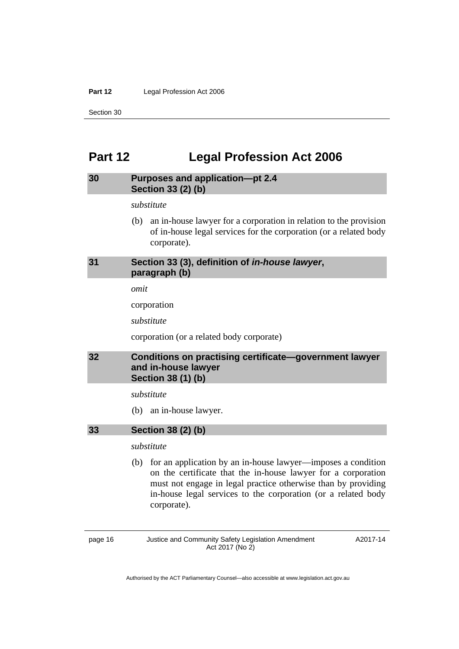#### Part 12 **Legal Profession Act 2006**

Section 30

### <span id="page-21-0"></span>**Part 12 Legal Profession Act 2006**

#### <span id="page-21-1"></span>**30 Purposes and application—pt 2.4 Section 33 (2) (b)**

#### *substitute*

 (b) an in-house lawyer for a corporation in relation to the provision of in-house legal services for the corporation (or a related body corporate).

### <span id="page-21-2"></span>**31 Section 33 (3), definition of** *in-house lawyer***, paragraph (b)**

*omit* 

corporation

*substitute* 

corporation (or a related body corporate)

### <span id="page-21-3"></span>**32 Conditions on practising certificate—government lawyer and in-house lawyer Section 38 (1) (b)**

*substitute* 

(b) an in-house lawyer.

#### <span id="page-21-4"></span>**33 Section 38 (2) (b)**

#### *substitute*

 (b) for an application by an in-house lawyer—imposes a condition on the certificate that the in-house lawyer for a corporation must not engage in legal practice otherwise than by providing in-house legal services to the corporation (or a related body corporate).

page 16 Justice and Community Safety Legislation Amendment Act 2017 (No 2)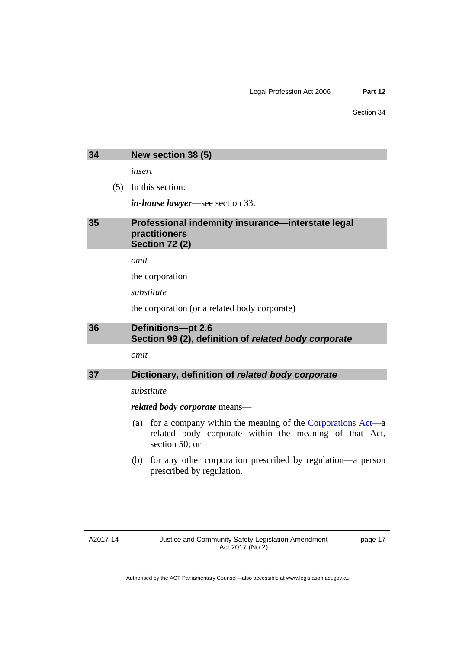<span id="page-22-0"></span>

| 34 | New section 38 (5) |  |
|----|--------------------|--|
|    |                    |  |

*insert* 

(5) In this section:

*in-house lawyer*—see section 33.

#### <span id="page-22-1"></span>**35 Professional indemnity insurance—interstate legal practitioners Section 72 (2)**

*omit* 

the corporation

*substitute* 

the corporation (or a related body corporate)

### <span id="page-22-2"></span>**36 Definitions—pt 2.6 Section 99 (2), definition of** *related body corporate*

*omit* 

#### <span id="page-22-3"></span>**37 Dictionary, definition of** *related body corporate*

*substitute* 

*related body corporate* means—

- (a) for a company within the meaning of the [Corporations Act](http://www.comlaw.gov.au/Series/C2004A00818)—a related body corporate within the meaning of that Act, section 50; or
- (b) for any other corporation prescribed by regulation—a person prescribed by regulation.

page 17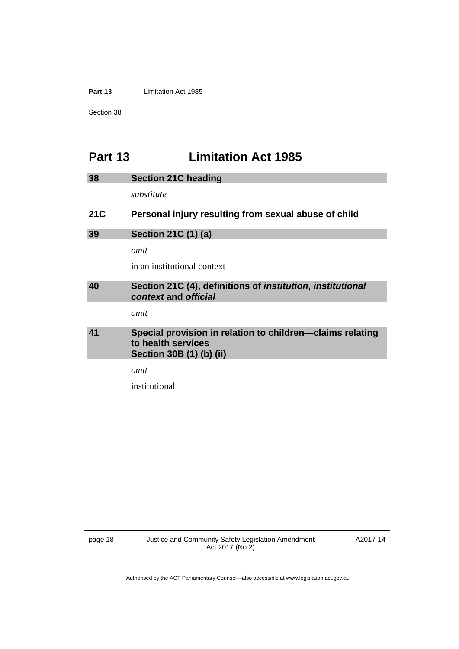#### **Part 13** Limitation Act 1985

Section 38

# <span id="page-23-0"></span>**Part 13 Limitation Act 1985**

<span id="page-23-3"></span><span id="page-23-2"></span><span id="page-23-1"></span>

| 38         | <b>Section 21C heading</b>                                                                                  |
|------------|-------------------------------------------------------------------------------------------------------------|
|            | substitute                                                                                                  |
| <b>21C</b> | Personal injury resulting from sexual abuse of child                                                        |
| 39         | Section 21C (1) (a)                                                                                         |
|            | omit                                                                                                        |
|            | in an institutional context                                                                                 |
| 40         | Section 21C (4), definitions of <i>institution</i> , <i>institutional</i><br>context and official           |
|            | omit                                                                                                        |
| 41         | Special provision in relation to children-claims relating<br>to health services<br>Section 30B (1) (b) (ii) |
|            | omit                                                                                                        |

<span id="page-23-4"></span>institutional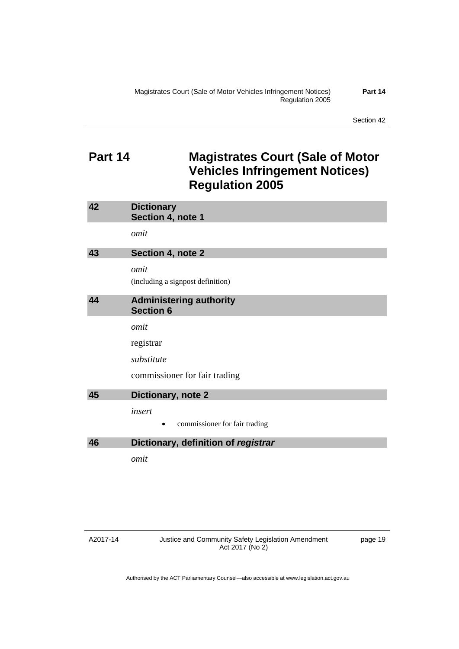# <span id="page-24-0"></span>**Part 14 Magistrates Court (Sale of Motor Vehicles Infringement Notices) Regulation 2005**

<span id="page-24-3"></span><span id="page-24-2"></span><span id="page-24-1"></span>

| 42 | <b>Dictionary</b><br>Section 4, note 1             |
|----|----------------------------------------------------|
|    | omit                                               |
| 43 | Section 4, note 2                                  |
|    | omit                                               |
|    | (including a signpost definition)                  |
| 44 | <b>Administering authority</b><br><b>Section 6</b> |
|    | omit                                               |
|    | registrar                                          |
|    | substitute                                         |
|    | commissioner for fair trading                      |
| 45 | Dictionary, note 2                                 |
|    | insert                                             |
|    | commissioner for fair trading<br>$\bullet$         |
| 46 | Dictionary, definition of registrar                |
|    | omit                                               |
|    |                                                    |

#### <span id="page-24-5"></span><span id="page-24-4"></span>A2017-14

#### Justice and Community Safety Legislation Amendment Act 2017 (No 2)

page 19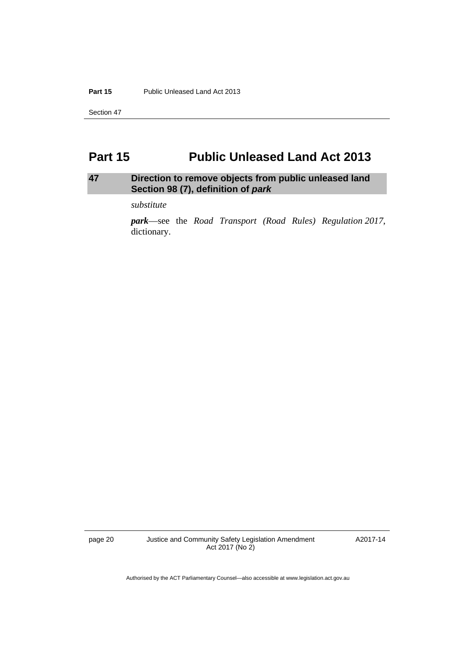**Part 15** Public Unleased Land Act 2013

Section 47

# <span id="page-25-0"></span>**Part 15 Public Unleased Land Act 2013**

### <span id="page-25-1"></span>**47 Direction to remove objects from public unleased land Section 98 (7), definition of** *park*

*substitute* 

*park*—see the *Road Transport (Road Rules) Regulation 2017*, dictionary.

page 20 Justice and Community Safety Legislation Amendment Act 2017 (No 2)

A2017-14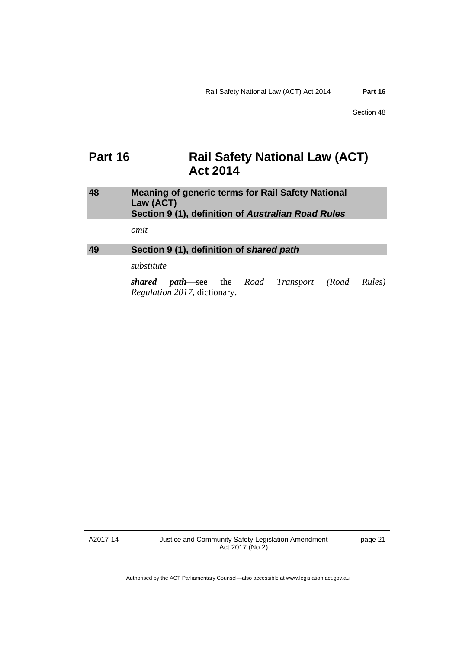# <span id="page-26-0"></span>**Part 16** Rail Safety National Law (ACT) **Act 2014**

### <span id="page-26-1"></span>**48 Meaning of generic terms for Rail Safety National Law (ACT) Section 9 (1), definition of** *Australian Road Rules*

*omit* 

<span id="page-26-2"></span>**49 Section 9 (1), definition of** *shared path* 

*substitute* 

*shared path*—see the *Road Transport (Road Rules) Regulation 2017*, dictionary.

A2017-14

Justice and Community Safety Legislation Amendment Act 2017 (No 2)

page 21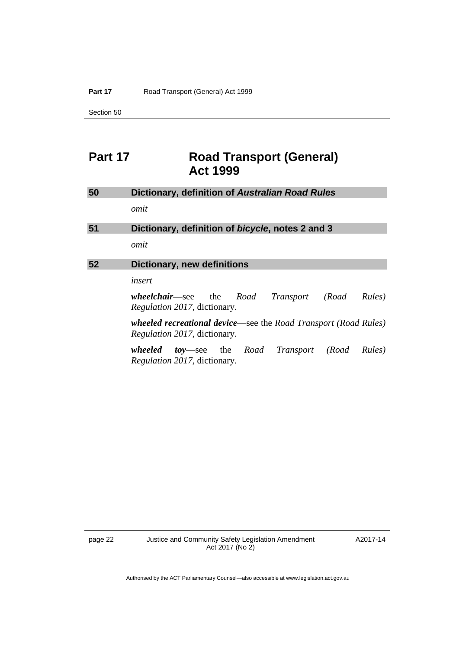#### Part 17 **Road Transport (General) Act 1999**

Section 50

# <span id="page-27-0"></span>**Part 17 Road Transport (General) Act 1999**

<span id="page-27-3"></span><span id="page-27-2"></span><span id="page-27-1"></span>

| 50 | Dictionary, definition of Australian Road Rules                                                                |
|----|----------------------------------------------------------------------------------------------------------------|
|    | omit                                                                                                           |
| 51 | Dictionary, definition of bicycle, notes 2 and 3                                                               |
|    | omit                                                                                                           |
| 52 | <b>Dictionary, new definitions</b>                                                                             |
|    | insert                                                                                                         |
|    | wheelchair—see the Road<br>Transport (Road<br>Rules)<br><i>Regulation 2017</i> , dictionary.                   |
|    | <b>wheeled recreational device—see the Road Transport (Road Rules)</b><br><i>Regulation 2017</i> , dictionary. |
|    | wheeled toy—see the Road Transport (Road<br>Rules)<br><i>Regulation 2017</i> , dictionary.                     |

A2017-14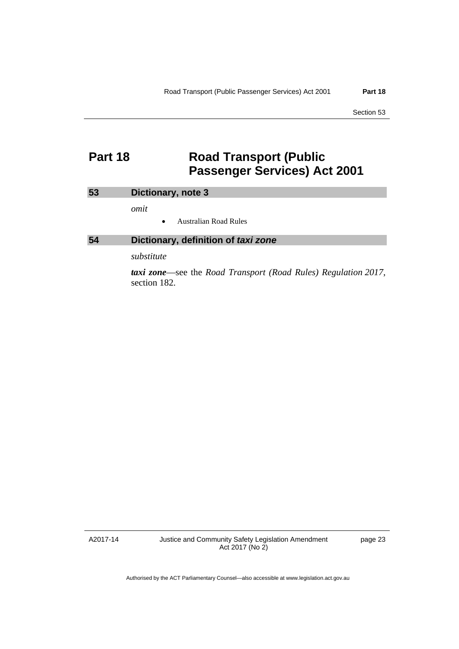Section 53

# <span id="page-28-0"></span>**Part 18 Road Transport (Public ) Passenger Services) Act 2001**

<span id="page-28-2"></span><span id="page-28-1"></span>

| 53 | Dictionary, note 3                        |
|----|-------------------------------------------|
|    | omit                                      |
|    | <b>Australian Road Rules</b><br>$\bullet$ |
| 54 | Dictionary, definition of taxi zone       |
|    | substitute                                |

*taxi zone*—see the *Road Transport (Road Rules) Regulation 2017*, section 182.

A2017-14

Justice and Community Safety Legislation Amendment Act 2017 (No 2)

page 23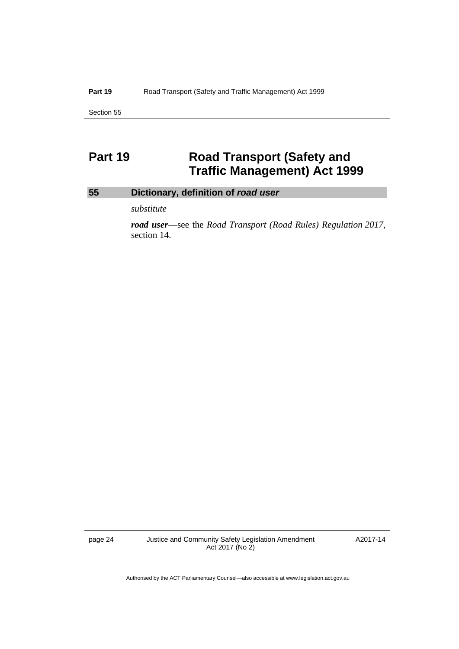#### Part 19 **Part 19** Road Transport (Safety and Traffic Management) Act 1999

Section 55

# <span id="page-29-0"></span>**Part 19** Road Transport (Safety and **Traffic Management) Act 1999**

### <span id="page-29-1"></span>**55 Dictionary, definition of** *road user*

*substitute* 

*road user*—see the *Road Transport (Road Rules) Regulation 2017*, section 14.

page 24 Justice and Community Safety Legislation Amendment Act 2017 (No 2)

A2017-14